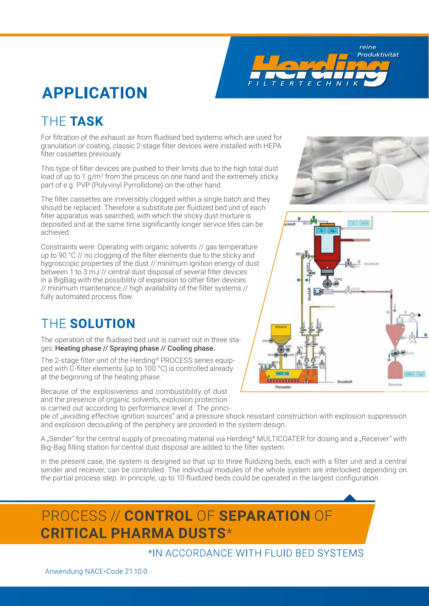reine Produktivität

 $\mathcal{F}$  $\epsilon$  $H$  $\overline{N}$ 

# **APPLICATION**

# THE **TASK**

For filtration of the exhaust air from fluidised bed systems which are used for granulation or coating, classic 2-stage filter devices were installed with HEPA filter cassettes previously.

This type of filter devices are pushed to their limits due to the high total dust load of up to 1  $g/m^3$  from the process on one hand and the extremely sticky part of e.g. PVP (Polyvinyl Pyrrollidone) on the other hand.

The filter cassettes are irreversibly clogged within a single batch and they should be replaced. Therefore a substitute per fluidized bed unit of each filter apparatus was searched, with which the sticky dust mixture is deposited and at the same time significantly longer service lifes can be achieved.

Constraints were: Operating with organic solvents // gas temperature up to 90 °C // no clogging of the filter elements due to the sticky and hygroscopic properties of the dust // minimum ignition energy of dust between 1 to 3 mJ // central dust disposal of several filter devices in a BigBag with the possibility of expansion to other filter devices // minimum maintenance // high availability of the filter systems // fully automated process flow.

### THE **SOLUTION**

The operation of the fluidised bed unit is carried out in three stages: Heating phase // Spraying phase // Cooling phase.

The 2-stage filter unit of the Herding® PROCESS series equipped with C-filter elements (up to 100 °C) is controlled already at the beginning of the heating phase.

Because of the explosiveness and combustibility of dust and the presence of organic solvents, explosion protection is carried out according to performance level d. The princi-

ple of "avoiding effective ignition sources" and a pressure shock resistant construction with explosion suppression and explosion decoupling of the periphery are provided in the system design.

A "Sender" for the central supply of precoating material via Herding® MULTICOATER for dosing and a "Receiver" with Big-Bag filling station for central dust disposal are added to the filter system.

In the present case, the system is designed so that up to three fluidizing beds, each with a filter unit and a central sender and receiver, can be controlled. The individual modules of the whole system are interlocked depending on the partial process step. In principle, up to 10 fluidized beds could be operated in the largest configuration.

# PROCESS // **CONTROL** OF **SEPARATION** OF  **CRITICAL PHARMA DUSTS**\*

#### \*IN ACCORDANCE WITH FLUID BED SYSTEMS